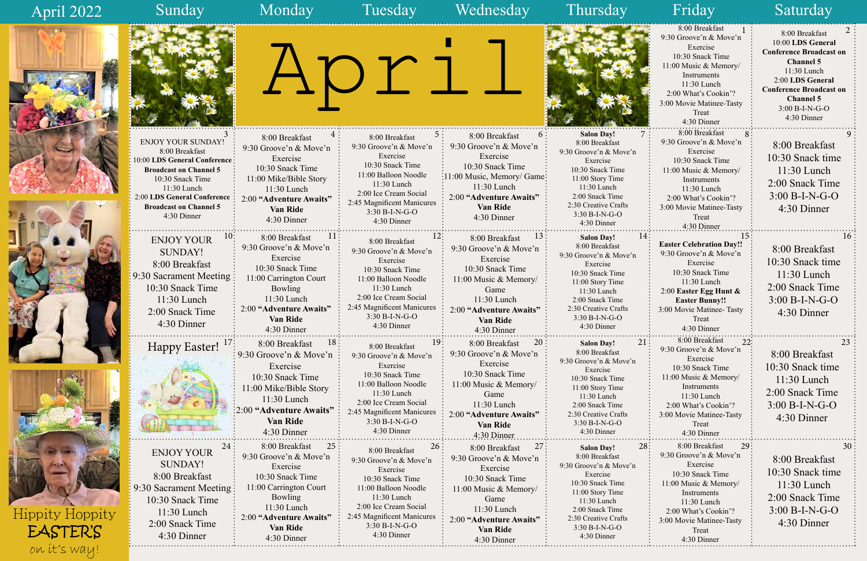

April 2022





|                                                                                                                                                                                                                                 |                                                                                                                                                                                                         |                                                                                                                                                                                                                              |                                                                                                                                                                                                         |                                                                                                                                                                                                                            | 8:00 Breakfast<br>9:30 Groove'n & Move'n<br>Exercise<br>10:30 Snack Time<br>11:00 Music & Memory/<br>Instruments<br>11:30 Lunch<br>2:00 What's Cookin'?<br>3:00 Movie Matinee-Tasty<br>Treat<br>4:30 Dinner         | 8:00 Breakfast<br>10:00 LDS General<br><b>Conference Broadcast on</b><br><b>Channel 5</b><br>11:30 Lunch<br>2:00 LDS General<br><b>Conference Broadcast on</b><br><b>Channel 5</b><br>3:00 B-I-N-G-O<br>4:30 Dinner |
|---------------------------------------------------------------------------------------------------------------------------------------------------------------------------------------------------------------------------------|---------------------------------------------------------------------------------------------------------------------------------------------------------------------------------------------------------|------------------------------------------------------------------------------------------------------------------------------------------------------------------------------------------------------------------------------|---------------------------------------------------------------------------------------------------------------------------------------------------------------------------------------------------------|----------------------------------------------------------------------------------------------------------------------------------------------------------------------------------------------------------------------------|---------------------------------------------------------------------------------------------------------------------------------------------------------------------------------------------------------------------|---------------------------------------------------------------------------------------------------------------------------------------------------------------------------------------------------------------------|
| <b>ENJOY YOUR SUNDAY!</b><br>8:00 Breakfast<br>10:00 LDS General Conference:<br><b>Broadcast on Channel 5</b><br>10:30 Snack Time<br>11:30 Lunch<br>2:00 LDS General Conference<br><b>Broadcast on Channel 5</b><br>4:30 Dinner | 8:00 Breakfast<br>9:30 Groove'n & Move'n<br>Exercise<br>10:30 Snack Time<br>11:00 Mike/Bible Story<br>11:30 Lunch<br>2:00 "Adventure Awaits"<br><b>Van Ride</b><br>4:30 Dinner                          | 8:00 Breakfast<br>9:30 Groove'n & Move'n<br>Exercise<br>10:30 Snack Time<br>11:00 Balloon Noodle<br>11:30 Lunch<br>2:00 Ice Cream Social<br>2:45 Magnificent Manicures<br>$3:30 B-I-N-G-O$<br>4:30 Dinner                    | 8:00 Breakfast<br>$\mathfrak{b}$ .<br>9:30 Groove'n & Move'n<br>Exercise<br>10:30 Snack Time<br>:11:00 Music, Memory/ Game:<br>11:30 Lunch<br>2:00 "Adventure Awaits"<br><b>Van Ride</b><br>4:30 Dinner | <b>Salon Day!</b><br>8:00 Breakfast<br>9:30 Groove'n & Move'n<br>Exercise<br>10:30 Snack Time<br>11:00 Story Time<br>11:30 Lunch<br>2:00 Snack Time<br>2:30 Creative Crafts<br>3:30 B-I-N-G-O<br>4:30 Dinner               | 8:00 Breakfast<br>9:30 Groove'n & Move'n<br>Exercise<br>10:30 Snack Time<br>11:00 Music & Memory/<br>Instruments<br>11:30 Lunch<br>2:00 What's Cookin'?<br>3:00 Movie Matinee-Tasty<br>Treat<br>4:30 Dinner         | 8:00 Breakfast<br>10:30 Snack time<br>$11:30$ Lunch<br>2:00 Snack Time<br>$3:00 B-I-N-G-O$<br>4:30 Dinner                                                                                                           |
| 10 <sup>2</sup><br><b>ENJOY YOUR</b><br><b>SUNDAY!</b><br>8:00 Breakfast<br>9:30 Sacrament Meeting<br>10:30 Snack Time<br>11:30 Lunch<br>2:00 Snack Time<br>4:30 Dinner                                                         | 8:00 Breakfast<br>$\pm$<br>9:30 Groove'n & Move'n<br>Exercise<br>10:30 Snack Time<br>11:00 Carrington Court<br>Bowling<br>11:30 Lunch<br>2:00 "Adventure Awaits"<br><b>Van Ride</b><br>4:30 Dinner      | 8:00 Breakfast<br>9:30 Groove'n & Move'n<br>Exercise<br>10:30 Snack Time<br>11:00 Balloon Noodle<br>11:30 Lunch<br>2:00 Ice Cream Social<br>2:45 Magnificent Manicures<br>$3:30 B-I-N-G-O$<br>4:30 Dinner                    | 8:00 Breakfast<br>9:30 Groove'n & Move'n<br>Exercise<br>10:30 Snack Time<br>11:00 Music & Memory/<br>Game<br>11:30 Lunch<br>2:00 "Adventure Awaits"<br>Van Ride<br>4:30 Dinner                          | 14<br><b>Salon Day!</b><br>8:00 Breakfast<br>9:30 Groove'n & Move'n<br>Exercise<br>10:30 Snack Time<br>11:00 Story Time<br>11:30 Lunch<br>2:00 Snack Time<br>2:30 Creative Crafts<br>$3:30 B-I-N-G-O$<br>4:30 Dinner       | <b>Easter Celebration Day!!</b><br>9:30 Groove'n & Move'n<br>Exercise<br>10:30 Snack Time<br>11:30 Lunch<br>2:00 Easter Egg Hunt $\&$<br><b>Easter Bunny!!</b><br>3:00 Movie Matinee- Tasty<br>Treat<br>4:30 Dinner | 16<br>8:00 Breakfast<br>10:30 Snack time<br>$11:30$ Lunch<br>2:00 Snack Time<br>$3:00 B-I-N-G-O$<br>4:30 Dinner                                                                                                     |
| <b>Happy Easter!</b>                                                                                                                                                                                                            | 8:00 Breakfast<br>10.<br>9:30 Groove'n & Move'n<br>Exercise<br>10:30 Snack Time<br>11:00 Mike/Bible Story<br>$11:30$ Lunch<br>:2:00 "Adventure Awaits"<br><b>Van Ride</b><br>4:30 Dinner                | 19 <sup>1</sup><br>8:00 Breakfast<br>9:30 Groove'n & Move'n<br>Exercise<br>10:30 Snack Time<br>11:00 Balloon Noodle<br>11:30 Lunch<br>2:00 Ice Cream Social<br>2:45 Magnificent Manicures<br>$3:30 B-I-N-G-O$<br>4:30 Dinner | 8:00 Breakfast<br>$\angle U$ :<br>9:30 Groove'n & Move'n<br>Exercise<br>10:30 Snack Time<br>11:00 Music & Memory/<br>Game<br>11:30 Lunch<br>2:00 "Adventure Awaits"<br><b>Van Ride</b><br>4:30 Dinner   | <b>Salon Day!</b><br>$\angle 1$<br>8:00 Breakfast<br>9:30 Groove'n & Move'n<br>Exercise<br>10:30 Snack Time<br>11:00 Story Time<br>11:30 Lunch<br>2:00 Snack Time<br>2:30 Creative Crafts<br>3:30 B-I-N-G-O<br>4:30 Dinner | 8:00 Breakfast<br>LL<br>9:30 Groove'n & Move'n<br>Exercise<br>10:30 Snack Time<br>11:00 Music & Memory/<br>Instruments<br>11:30 Lunch<br>2:00 What's Cookin'?<br>3:00 Movie Matinee-Tasty<br>Treat<br>4:30 Dinner   | $\mathcal{L}$<br>8:00 Breakfast<br>10:30 Snack time<br>11:30 Lunch<br>2:00 Snack Time<br>$3:00 B-I-N-G-O$<br>4:30 Dinner                                                                                            |
| 24:<br><b>ENJOY YOUR</b><br><b>SUNDAY!</b><br>8:00 Breakfast<br>9:30 Sacrament Meeting:<br>10:30 Snack Time<br>$11:30$ Lunch<br>2:00 Snack Time<br>4:30 Dinner                                                                  | 8:00 Breakfast<br>25:<br>9:30 Groove'n & Move'n<br>Exercise<br>10:30 Snack Time<br>11:00 Carrington Court<br><b>Bowling</b><br>11:30 Lunch<br>2:00 "Adventure Awaits"<br><b>Van Ride</b><br>4:30 Dinner | 26:<br>8:00 Breakfast<br>9:30 Groove'n & Move'n<br>Exercise<br>10:30 Snack Time<br>11:00 Balloon Noodle<br>11:30 Lunch<br>2:00 Ice Cream Social<br>2:45 Magnificent Manicures<br>3:30 B-I-N-G-O<br>4:30 Dinner               | 27:<br>8:00 Breakfast<br>9:30 Groove'n & Move'n<br>Exercise<br>10:30 Snack Time<br>11:00 Music & Memory/<br>Game<br>11:30 Lunch<br>2:00 "Adventure Awaits"<br><b>Van Ride</b><br>4:30 Dinner            | 28:<br><b>Salon Day!</b><br>8:00 Breakfast<br>9:30 Groove'n & Move'n<br>Exercise<br>10:30 Snack Time<br>11:00 Story Time<br>11:30 Lunch<br>2:00 Snack Time<br>2:30 Creative Crafts<br>3:30 B-I-N-G-O<br>4:30 Dinner        | 8:00 Breakfast<br>29:<br>9:30 Groove'n & Move'n<br>Exercise<br>10:30 Snack Time<br>11:00 Music & Memory/<br>Instruments<br>11:30 Lunch<br>2:00 What's Cookin'?<br>3:00 Movie Matinee-Tasty<br>Treat<br>4:30 Dinner  | 30<br>8:00 Breakfast<br>10:30 Snack time<br>11:30 Lunch<br>2:00 Snack Time<br>$3:00 B-I-N-G-O$<br>4:30 Dinner                                                                                                       |

1 2 20 Guerra de Maria de la California de la California de la California de la California de la California de<br>1 2 de junho de la California de la California de la California de Maria de Maria de Maria de Maria de Si00 Bre

### Happy Easter!<sup>17</sup>







Hippity Hoppity EASTER'S on it's way!